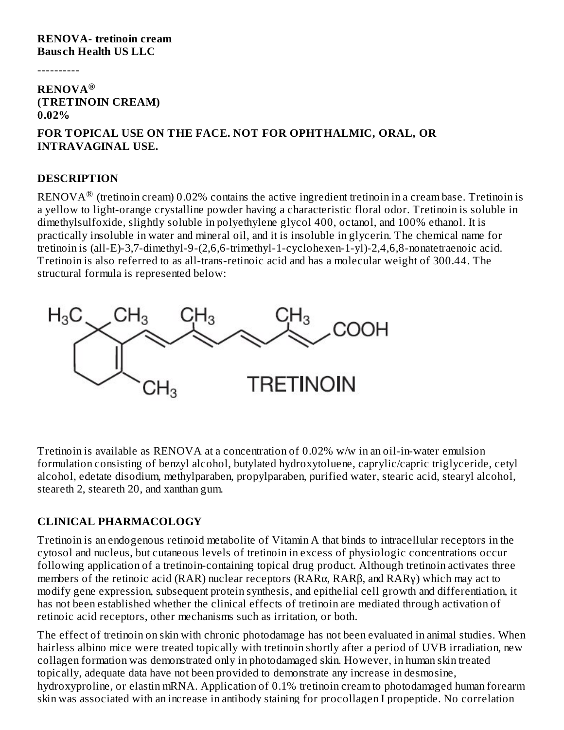#### **RENOVA- tretinoin cream Baus ch Health US LLC**

----------

### **RENOVA ® (TRETINOIN CREAM) 0.02%**

### **FOR TOPICAL USE ON THE FACE. NOT FOR OPHTHALMIC, ORAL, OR INTRAVAGINAL USE.**

#### **DESCRIPTION**

 $\mathop{\rm RENOVA}\nolimits^\circledR$  (tretinoin cream) 0.02% contains the active ingredient tretinoin in a cream base. Tretinoin is a yellow to light-orange crystalline powder having a characteristic floral odor. Tretinoin is soluble in dimethylsulfoxide, slightly soluble in polyethylene glycol 400, octanol, and 100% ethanol. It is practically insoluble in water and mineral oil, and it is insoluble in glycerin. The chemical name for tretinoin is (all-E)-3,7-dimethyl-9-(2,6,6-trimethyl-1-cyclohexen-1-yl)-2,4,6,8-nonatetraenoic acid. Tretinoin is also referred to as all-trans-retinoic acid and has a molecular weight of 300.44. The structural formula is represented below:



Tretinoin is available as RENOVA at a concentration of 0.02% w/w in an oil-in-water emulsion formulation consisting of benzyl alcohol, butylated hydroxytoluene, caprylic/capric triglyceride, cetyl alcohol, edetate disodium, methylparaben, propylparaben, purified water, stearic acid, stearyl alcohol, steareth 2, steareth 20, and xanthan gum.

### **CLINICAL PHARMACOLOGY**

Tretinoin is an endogenous retinoid metabolite of Vitamin A that binds to intracellular receptors in the cytosol and nucleus, but cutaneous levels of tretinoin in excess of physiologic concentrations occur following application of a tretinoin-containing topical drug product. Although tretinoin activates three members of the retinoic acid (RAR) nuclear receptors (RARα, RARβ, and RARγ) which may act to modify gene expression, subsequent protein synthesis, and epithelial cell growth and differentiation, it has not been established whether the clinical effects of tretinoin are mediated through activation of retinoic acid receptors, other mechanisms such as irritation, or both.

The effect of tretinoin on skin with chronic photodamage has not been evaluated in animal studies. When hairless albino mice were treated topically with tretinoin shortly after a period of UVB irradiation, new collagen formation was demonstrated only in photodamaged skin. However, in human skin treated topically, adequate data have not been provided to demonstrate any increase in desmosine, hydroxyproline, or elastin mRNA. Application of 0.1% tretinoin cream to photodamaged human forearm skin was associated with an increase in antibody staining for procollagen I propeptide. No correlation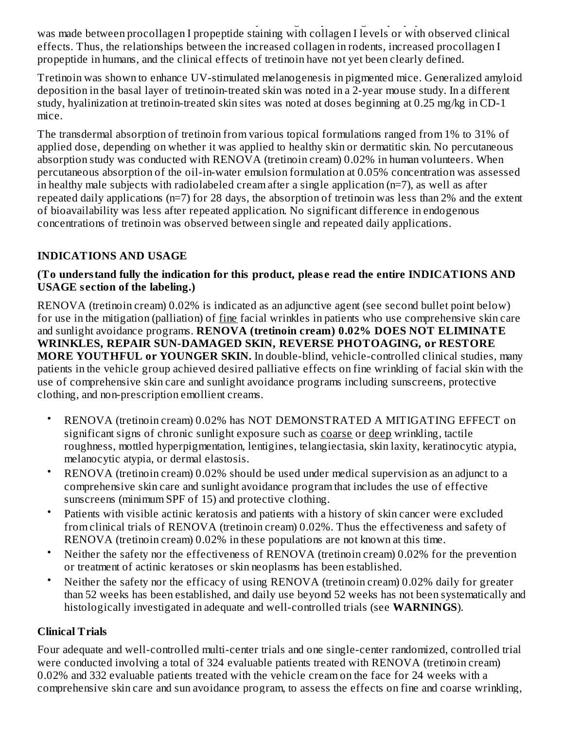skin was associated with an increase in antibody staining for procollagen I propeptide. No correlation was made between procollagen I propeptide staining with collagen I levels or with observed clinical effects. Thus, the relationships between the increased collagen in rodents, increased procollagen I propeptide in humans, and the clinical effects of tretinoin have not yet been clearly defined.

Tretinoin was shown to enhance UV-stimulated melanogenesis in pigmented mice. Generalized amyloid deposition in the basal layer of tretinoin-treated skin was noted in a 2-year mouse study. In a different study, hyalinization at tretinoin-treated skin sites was noted at doses beginning at 0.25 mg/kg in CD-1 mice.

The transdermal absorption of tretinoin from various topical formulations ranged from 1% to 31% of applied dose, depending on whether it was applied to healthy skin or dermatitic skin. No percutaneous absorption study was conducted with RENOVA (tretinoin cream) 0.02% in human volunteers. When percutaneous absorption of the oil-in-water emulsion formulation at 0.05% concentration was assessed in healthy male subjects with radiolabeled cream after a single application (n=7), as well as after repeated daily applications (n=7) for 28 days, the absorption of tretinoin was less than 2% and the extent of bioavailability was less after repeated application. No significant difference in endogenous concentrations of tretinoin was observed between single and repeated daily applications.

# **INDICATIONS AND USAGE**

### **(To understand fully the indication for this product, pleas e read the entire INDICATIONS AND USAGE s ection of the labeling.)**

RENOVA (tretinoin cream) 0.02% is indicated as an adjunctive agent (see second bullet point below) for use in the mitigation (palliation) of fine facial wrinkles in patients who use comprehensive skin care and sunlight avoidance programs. **RENOVA (tretinoin cream) 0.02% DOES NOT ELIMINATE WRINKLES, REPAIR SUN-DAMAGED SKIN, REVERSE PHOTOAGING, or RESTORE MORE YOUTHFUL or YOUNGER SKIN.** In double-blind, vehicle-controlled clinical studies, many patients in the vehicle group achieved desired palliative effects on fine wrinkling of facial skin with the use of comprehensive skin care and sunlight avoidance programs including sunscreens, protective clothing, and non-prescription emollient creams.

- RENOVA (tretinoin cream) 0.02% has NOT DEMONSTRATED A MITIGATING EFFECT on significant signs of chronic sunlight exposure such as coarse or deep wrinkling, tactile roughness, mottled hyperpigmentation, lentigines, telangiectasia, skin laxity, keratinocytic atypia, melanocytic atypia, or dermal elastosis.
- RENOVA (tretinoin cream) 0.02% should be used under medical supervision as an adjunct to a comprehensive skin care and sunlight avoidance program that includes the use of effective sunscreens (minimum SPF of 15) and protective clothing.
- Patients with visible actinic keratosis and patients with a history of skin cancer were excluded from clinical trials of RENOVA (tretinoin cream) 0.02%. Thus the effectiveness and safety of RENOVA (tretinoin cream) 0.02% in these populations are not known at this time.
- Neither the safety nor the effectiveness of RENOVA (tretinoin cream) 0.02% for the prevention or treatment of actinic keratoses or skin neoplasms has been established.
- Neither the safety nor the efficacy of using RENOVA (tretinoin cream) 0.02% daily for greater than 52 weeks has been established, and daily use beyond 52 weeks has not been systematically and histologically investigated in adequate and well-controlled trials (see **WARNINGS**).

# **Clinical Trials**

Four adequate and well-controlled multi-center trials and one single-center randomized, controlled trial were conducted involving a total of 324 evaluable patients treated with RENOVA (tretinoin cream) 0.02% and 332 evaluable patients treated with the vehicle cream on the face for 24 weeks with a comprehensive skin care and sun avoidance program, to assess the effects on fine and coarse wrinkling,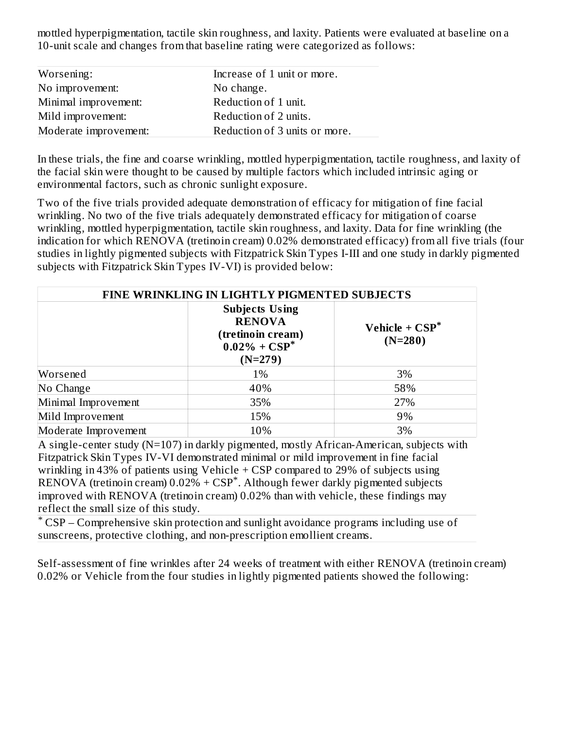mottled hyperpigmentation, tactile skin roughness, and laxity. Patients were evaluated at baseline on a 10-unit scale and changes from that baseline rating were categorized as follows:

| Worsening:            | Increase of 1 unit or more.   |
|-----------------------|-------------------------------|
| No improvement:       | No change.                    |
| Minimal improvement:  | Reduction of 1 unit.          |
| Mild improvement:     | Reduction of 2 units.         |
| Moderate improvement: | Reduction of 3 units or more. |

In these trials, the fine and coarse wrinkling, mottled hyperpigmentation, tactile roughness, and laxity of the facial skin were thought to be caused by multiple factors which included intrinsic aging or environmental factors, such as chronic sunlight exposure.

Two of the five trials provided adequate demonstration of efficacy for mitigation of fine facial wrinkling. No two of the five trials adequately demonstrated efficacy for mitigation of coarse wrinkling, mottled hyperpigmentation, tactile skin roughness, and laxity. Data for fine wrinkling (the indication for which RENOVA (tretinoin cream) 0.02% demonstrated efficacy) from all five trials (four studies in lightly pigmented subjects with Fitzpatrick Skin Types I-III and one study in darkly pigmented subjects with Fitzpatrick Skin Types IV-VI) is provided below:

| FINE WRINKLING IN LIGHTLY PIGMENTED SUBJECTS |                                                                                              |                                |  |  |
|----------------------------------------------|----------------------------------------------------------------------------------------------|--------------------------------|--|--|
|                                              | <b>Subjects Using</b><br><b>RENOVA</b><br>(tretinoin cream)<br>$0.02\% + CSP^*$<br>$(N=279)$ | Vehicle + $CSP^*$<br>$(N=280)$ |  |  |
| Worsened                                     | 1%                                                                                           | 3%                             |  |  |
| No Change                                    | 40%                                                                                          | 58%                            |  |  |
| Minimal Improvement                          | 35%                                                                                          | 27%                            |  |  |
| Mild Improvement                             | 15%                                                                                          | 9%                             |  |  |
| Moderate Improvement                         | 10%                                                                                          | 3%                             |  |  |

A single-center study (N=107) in darkly pigmented, mostly African-American, subjects with Fitzpatrick Skin Types IV-VI demonstrated minimal or mild improvement in fine facial wrinkling in 43% of patients using Vehicle + CSP compared to 29% of subjects using  $RENOVA$  (tretinoin cream)  $0.02\% + CSP^*$ . Although fewer darkly pigmented subjects improved with RENOVA (tretinoin cream) 0.02% than with vehicle, these findings may reflect the small size of this study.

CSP – Comprehensive skin protection and sunlight avoidance programs including use of \*sunscreens, protective clothing, and non-prescription emollient creams.

Self-assessment of fine wrinkles after 24 weeks of treatment with either RENOVA (tretinoin cream) 0.02% or Vehicle from the four studies in lightly pigmented patients showed the following: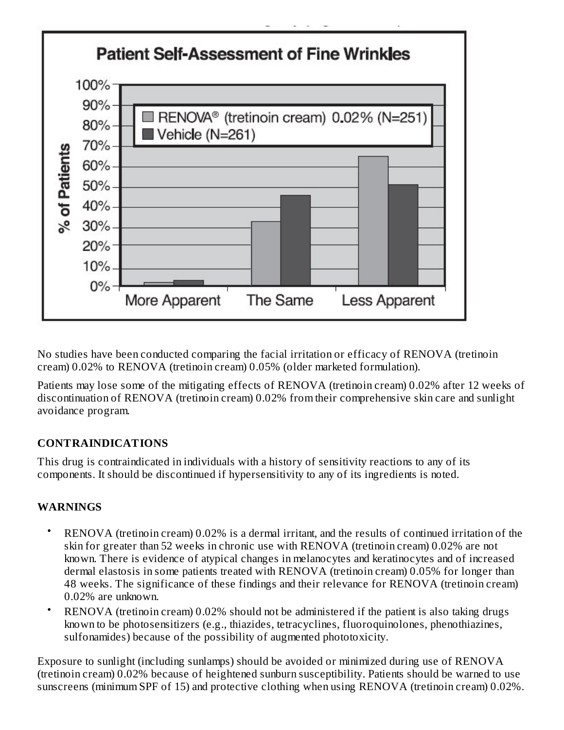

No studies have been conducted comparing the facial irritation or efficacy of RENOVA (tretinoin cream) 0.02% to RENOVA (tretinoin cream) 0.05% (older marketed formulation).

Patients may lose some of the mitigating effects of RENOVA (tretinoin cream) 0.02% after 12 weeks of discontinuation of RENOVA (tretinoin cream) 0.02% from their comprehensive skin care and sunlight avoidance program.

# **CONTRAINDICATIONS**

This drug is contraindicated in individuals with a history of sensitivity reactions to any of its components. It should be discontinued if hypersensitivity to any of its ingredients is noted.

### **WARNINGS**

- RENOVA (tretinoin cream) 0.02% is a dermal irritant, and the results of continued irritation of the skin for greater than 52 weeks in chronic use with RENOVA (tretinoin cream) 0.02% are not known. There is evidence of atypical changes in melanocytes and keratinocytes and of increased dermal elastosis in some patients treated with RENOVA (tretinoin cream) 0.05% for longer than 48 weeks. The significance of these findings and their relevance for RENOVA (tretinoin cream) 0.02% are unknown.
- RENOVA (tretinoin cream) 0.02% should not be administered if the patient is also taking drugs known to be photosensitizers (e.g., thiazides, tetracyclines, fluoroquinolones, phenothiazines, sulfonamides) because of the possibility of augmented phototoxicity.

Exposure to sunlight (including sunlamps) should be avoided or minimized during use of RENOVA (tretinoin cream) 0.02% because of heightened sunburn susceptibility. Patients should be warned to use sunscreens (minimum SPF of 15) and protective clothing when using RENOVA (tretinoin cream) 0.02%.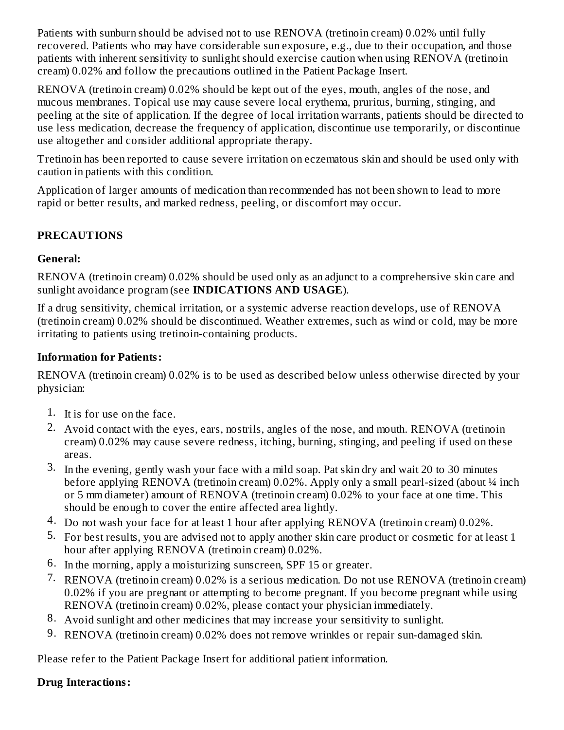Patients with sunburn should be advised not to use RENOVA (tretinoin cream) 0.02% until fully recovered. Patients who may have considerable sun exposure, e.g., due to their occupation, and those patients with inherent sensitivity to sunlight should exercise caution when using RENOVA (tretinoin cream) 0.02% and follow the precautions outlined in the Patient Package Insert.

RENOVA (tretinoin cream) 0.02% should be kept out of the eyes, mouth, angles of the nose, and mucous membranes. Topical use may cause severe local erythema, pruritus, burning, stinging, and peeling at the site of application. If the degree of local irritation warrants, patients should be directed to use less medication, decrease the frequency of application, discontinue use temporarily, or discontinue use altogether and consider additional appropriate therapy.

Tretinoin has been reported to cause severe irritation on eczematous skin and should be used only with caution in patients with this condition.

Application of larger amounts of medication than recommended has not been shown to lead to more rapid or better results, and marked redness, peeling, or discomfort may occur.

# **PRECAUTIONS**

### **General:**

RENOVA (tretinoin cream) 0.02% should be used only as an adjunct to a comprehensive skin care and sunlight avoidance program (see **INDICATIONS AND USAGE**).

If a drug sensitivity, chemical irritation, or a systemic adverse reaction develops, use of RENOVA (tretinoin cream) 0.02% should be discontinued. Weather extremes, such as wind or cold, may be more irritating to patients using tretinoin-containing products.

# **Information for Patients:**

RENOVA (tretinoin cream) 0.02% is to be used as described below unless otherwise directed by your physician:

- 1. It is for use on the face.
- 2. Avoid contact with the eyes, ears, nostrils, angles of the nose, and mouth. RENOVA (tretinoin cream) 0.02% may cause severe redness, itching, burning, stinging, and peeling if used on these areas.
- 3. In the evening, gently wash your face with a mild soap. Pat skin dry and wait 20 to 30 minutes before applying RENOVA (tretinoin cream) 0.02%. Apply only a small pearl-sized (about ¼ inch or 5 mm diameter) amount of RENOVA (tretinoin cream) 0.02% to your face at one time. This should be enough to cover the entire affected area lightly.
- 4. Do not wash your face for at least 1 hour after applying RENOVA (tretinoin cream) 0.02%.
- 5. For best results, you are advised not to apply another skin care product or cosmetic for at least 1 hour after applying RENOVA (tretinoin cream) 0.02%.
- 6. In the morning, apply a moisturizing sunscreen, SPF 15 or greater.
- 7. RENOVA (tretinoin cream) 0.02% is a serious medication. Do not use RENOVA (tretinoin cream) 0.02% if you are pregnant or attempting to become pregnant. If you become pregnant while using RENOVA (tretinoin cream) 0.02%, please contact your physician immediately.
- 8. Avoid sunlight and other medicines that may increase your sensitivity to sunlight.
- 9. RENOVA (tretinoin cream) 0.02% does not remove wrinkles or repair sun-damaged skin.

Please refer to the Patient Package Insert for additional patient information.

### **Drug Interactions:**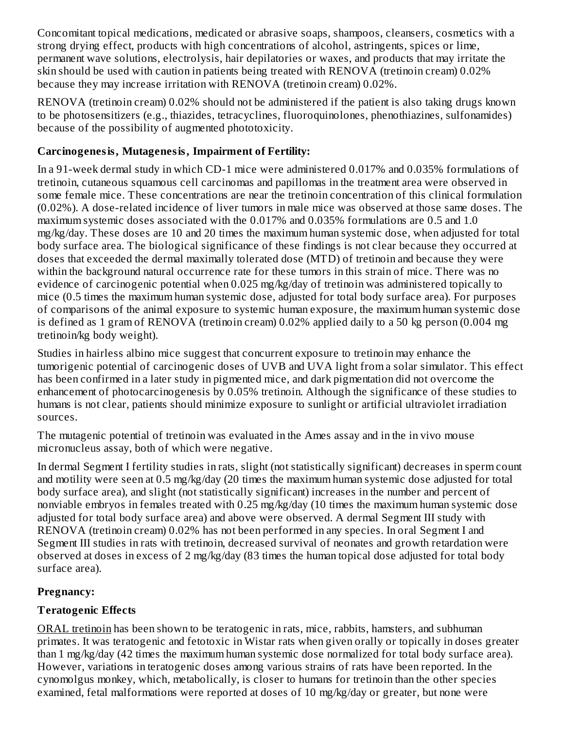Concomitant topical medications, medicated or abrasive soaps, shampoos, cleansers, cosmetics with a strong drying effect, products with high concentrations of alcohol, astringents, spices or lime, permanent wave solutions, electrolysis, hair depilatories or waxes, and products that may irritate the skin should be used with caution in patients being treated with RENOVA (tretinoin cream) 0.02% because they may increase irritation with RENOVA (tretinoin cream) 0.02%.

RENOVA (tretinoin cream) 0.02% should not be administered if the patient is also taking drugs known to be photosensitizers (e.g., thiazides, tetracyclines, fluoroquinolones, phenothiazines, sulfonamides) because of the possibility of augmented phototoxicity.

# **Carcinogenesis, Mutagenesis, Impairment of Fertility:**

In a 91-week dermal study in which CD-1 mice were administered 0.017% and 0.035% formulations of tretinoin, cutaneous squamous cell carcinomas and papillomas in the treatment area were observed in some female mice. These concentrations are near the tretinoin concentration of this clinical formulation (0.02%). A dose-related incidence of liver tumors in male mice was observed at those same doses. The maximum systemic doses associated with the 0.017% and 0.035% formulations are 0.5 and 1.0 mg/kg/day. These doses are 10 and 20 times the maximum human systemic dose, when adjusted for total body surface area. The biological significance of these findings is not clear because they occurred at doses that exceeded the dermal maximally tolerated dose (MTD) of tretinoin and because they were within the background natural occurrence rate for these tumors in this strain of mice. There was no evidence of carcinogenic potential when 0.025 mg/kg/day of tretinoin was administered topically to mice (0.5 times the maximum human systemic dose, adjusted for total body surface area). For purposes of comparisons of the animal exposure to systemic human exposure, the maximum human systemic dose is defined as 1 gram of RENOVA (tretinoin cream) 0.02% applied daily to a 50 kg person (0.004 mg tretinoin/kg body weight).

Studies in hairless albino mice suggest that concurrent exposure to tretinoin may enhance the tumorigenic potential of carcinogenic doses of UVB and UVA light from a solar simulator. This effect has been confirmed in a later study in pigmented mice, and dark pigmentation did not overcome the enhancement of photocarcinogenesis by 0.05% tretinoin. Although the significance of these studies to humans is not clear, patients should minimize exposure to sunlight or artificial ultraviolet irradiation sources.

The mutagenic potential of tretinoin was evaluated in the Ames assay and in the in vivo mouse micronucleus assay, both of which were negative.

In dermal Segment I fertility studies in rats, slight (not statistically significant) decreases in sperm count and motility were seen at 0.5 mg/kg/day (20 times the maximum human systemic dose adjusted for total body surface area), and slight (not statistically significant) increases in the number and percent of nonviable embryos in females treated with 0.25 mg/kg/day (10 times the maximum human systemic dose adjusted for total body surface area) and above were observed. A dermal Segment III study with RENOVA (tretinoin cream) 0.02% has not been performed in any species. In oral Segment I and Segment III studies in rats with tretinoin, decreased survival of neonates and growth retardation were observed at doses in excess of 2 mg/kg/day (83 times the human topical dose adjusted for total body surface area).

# **Pregnancy:**

# **Teratogenic Effects**

ORAL tretinoin has been shown to be teratogenic in rats, mice, rabbits, hamsters, and subhuman primates. It was teratogenic and fetotoxic in Wistar rats when given orally or topically in doses greater than 1 mg/kg/day (42 times the maximum human systemic dose normalized for total body surface area). However, variations in teratogenic doses among various strains of rats have been reported. In the cynomolgus monkey, which, metabolically, is closer to humans for tretinoin than the other species examined, fetal malformations were reported at doses of 10 mg/kg/day or greater, but none were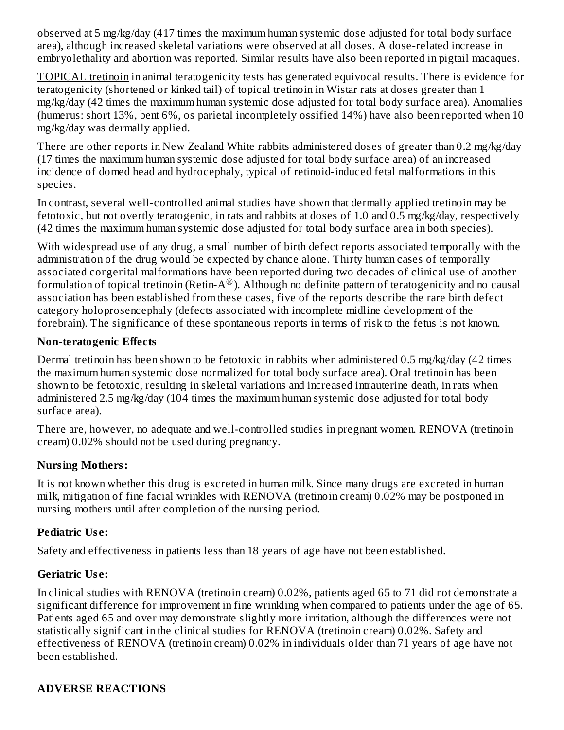observed at 5 mg/kg/day (417 times the maximum human systemic dose adjusted for total body surface area), although increased skeletal variations were observed at all doses. A dose-related increase in embryolethality and abortion was reported. Similar results have also been reported in pigtail macaques.

TOPICAL tretinoin in animal teratogenicity tests has generated equivocal results. There is evidence for teratogenicity (shortened or kinked tail) of topical tretinoin in Wistar rats at doses greater than 1 mg/kg/day (42 times the maximum human systemic dose adjusted for total body surface area). Anomalies (humerus: short 13%, bent 6%, os parietal incompletely ossified 14%) have also been reported when 10 mg/kg/day was dermally applied.

There are other reports in New Zealand White rabbits administered doses of greater than 0.2 mg/kg/day (17 times the maximum human systemic dose adjusted for total body surface area) of an increased incidence of domed head and hydrocephaly, typical of retinoid-induced fetal malformations in this species.

In contrast, several well-controlled animal studies have shown that dermally applied tretinoin may be fetotoxic, but not overtly teratogenic, in rats and rabbits at doses of 1.0 and 0.5 mg/kg/day, respectively (42 times the maximum human systemic dose adjusted for total body surface area in both species).

With widespread use of any drug, a small number of birth defect reports associated temporally with the administration of the drug would be expected by chance alone. Thirty human cases of temporally associated congenital malformations have been reported during two decades of clinical use of another formulation of topical tretinoin (Retin-A®). Although no definite pattern of teratogenicity and no causal association has been established from these cases, five of the reports describe the rare birth defect category holoprosencephaly (defects associated with incomplete midline development of the forebrain). The significance of these spontaneous reports in terms of risk to the fetus is not known.

### **Non-teratogenic Effects**

Dermal tretinoin has been shown to be fetotoxic in rabbits when administered 0.5 mg/kg/day (42 times the maximum human systemic dose normalized for total body surface area). Oral tretinoin has been shown to be fetotoxic, resulting in skeletal variations and increased intrauterine death, in rats when administered 2.5 mg/kg/day (104 times the maximum human systemic dose adjusted for total body surface area).

There are, however, no adequate and well-controlled studies in pregnant women. RENOVA (tretinoin cream) 0.02% should not be used during pregnancy.

### **Nursing Mothers:**

It is not known whether this drug is excreted in human milk. Since many drugs are excreted in human milk, mitigation of fine facial wrinkles with RENOVA (tretinoin cream) 0.02% may be postponed in nursing mothers until after completion of the nursing period.

# **Pediatric Us e:**

Safety and effectiveness in patients less than 18 years of age have not been established.

# **Geriatric Us e:**

In clinical studies with RENOVA (tretinoin cream) 0.02%, patients aged 65 to 71 did not demonstrate a significant difference for improvement in fine wrinkling when compared to patients under the age of 65. Patients aged 65 and over may demonstrate slightly more irritation, although the differences were not statistically significant in the clinical studies for RENOVA (tretinoin cream) 0.02%. Safety and effectiveness of RENOVA (tretinoin cream) 0.02% in individuals older than 71 years of age have not been established.

# **ADVERSE REACTIONS**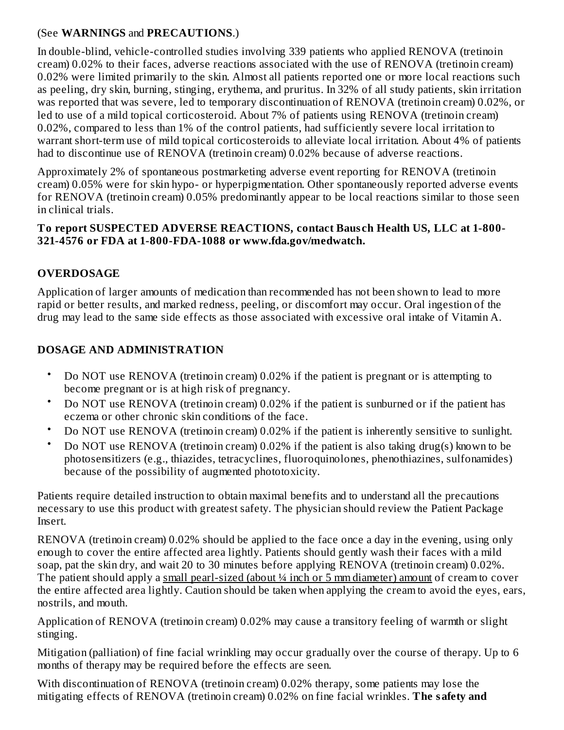### (See **WARNINGS** and **PRECAUTIONS**.)

In double-blind, vehicle-controlled studies involving 339 patients who applied RENOVA (tretinoin cream) 0.02% to their faces, adverse reactions associated with the use of RENOVA (tretinoin cream) 0.02% were limited primarily to the skin. Almost all patients reported one or more local reactions such as peeling, dry skin, burning, stinging, erythema, and pruritus. In 32% of all study patients, skin irritation was reported that was severe, led to temporary discontinuation of RENOVA (tretinoin cream) 0.02%, or led to use of a mild topical corticosteroid. About 7% of patients using RENOVA (tretinoin cream) 0.02%, compared to less than 1% of the control patients, had sufficiently severe local irritation to warrant short-term use of mild topical corticosteroids to alleviate local irritation. About 4% of patients had to discontinue use of RENOVA (tretinoin cream) 0.02% because of adverse reactions.

Approximately 2% of spontaneous postmarketing adverse event reporting for RENOVA (tretinoin cream) 0.05% were for skin hypo- or hyperpigmentation. Other spontaneously reported adverse events for RENOVA (tretinoin cream) 0.05% predominantly appear to be local reactions similar to those seen in clinical trials.

#### **To report SUSPECTED ADVERSE REACTIONS, contact Baus ch Health US, LLC at 1-800- 321-4576 or FDA at 1-800-FDA-1088 or www.fda.gov/medwatch.**

# **OVERDOSAGE**

Application of larger amounts of medication than recommended has not been shown to lead to more rapid or better results, and marked redness, peeling, or discomfort may occur. Oral ingestion of the drug may lead to the same side effects as those associated with excessive oral intake of Vitamin A.

# **DOSAGE AND ADMINISTRATION**

- Do NOT use RENOVA (tretinoin cream) 0.02% if the patient is pregnant or is attempting to become pregnant or is at high risk of pregnancy.
- Do NOT use RENOVA (tretinoin cream) 0.02% if the patient is sunburned or if the patient has eczema or other chronic skin conditions of the face.
- Do NOT use RENOVA (tretinoin cream) 0.02% if the patient is inherently sensitive to sunlight.
- Do NOT use RENOVA (tretinoin cream) 0.02% if the patient is also taking drug(s) known to be photosensitizers (e.g., thiazides, tetracyclines, fluoroquinolones, phenothiazines, sulfonamides) because of the possibility of augmented phototoxicity.

Patients require detailed instruction to obtain maximal benefits and to understand all the precautions necessary to use this product with greatest safety. The physician should review the Patient Package Insert.

RENOVA (tretinoin cream) 0.02% should be applied to the face once a day in the evening, using only enough to cover the entire affected area lightly. Patients should gently wash their faces with a mild soap, pat the skin dry, and wait 20 to 30 minutes before applying RENOVA (tretinoin cream) 0.02%. The patient should apply a small pearl-sized (about ¼ inch or 5 mm diameter) amount of cream to cover the entire affected area lightly. Caution should be taken when applying the cream to avoid the eyes, ears, nostrils, and mouth.

Application of RENOVA (tretinoin cream) 0.02% may cause a transitory feeling of warmth or slight stinging.

Mitigation (palliation) of fine facial wrinkling may occur gradually over the course of therapy. Up to 6 months of therapy may be required before the effects are seen.

With discontinuation of RENOVA (tretinoin cream) 0.02% therapy, some patients may lose the mitigating effects of RENOVA (tretinoin cream) 0.02% on fine facial wrinkles. **The safety and**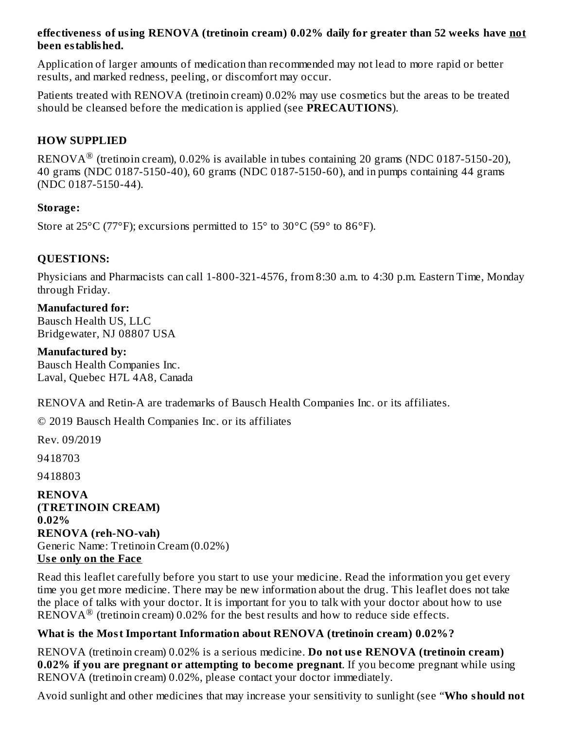### **effectiveness of using RENOVA (tretinoin cream) 0.02% daily for greater than 52 weeks have not been established.**

Application of larger amounts of medication than recommended may not lead to more rapid or better results, and marked redness, peeling, or discomfort may occur.

Patients treated with RENOVA (tretinoin cream) 0.02% may use cosmetics but the areas to be treated should be cleansed before the medication is applied (see **PRECAUTIONS**).

### **HOW SUPPLIED**

RENOVA $^{\circledR}$  (tretinoin cream), 0.02% is available in tubes containing 20 grams (NDC 0187-5150-20), 40 grams (NDC 0187-5150-40), 60 grams (NDC 0187-5150-60), and in pumps containing 44 grams (NDC 0187-5150-44).

### **Storage:**

Store at  $25^{\circ}$ C (77°F); excursions permitted to  $15^{\circ}$  to  $30^{\circ}$ C (59° to  $86^{\circ}$ F).

### **QUESTIONS:**

Physicians and Pharmacists can call 1-800-321-4576, from 8:30 a.m. to 4:30 p.m. Eastern Time, Monday through Friday.

### **Manufactured for:**

Bausch Health US, LLC Bridgewater, NJ 08807 USA

### **Manufactured by:**

Bausch Health Companies Inc. Laval, Quebec H7L 4A8, Canada

RENOVA and Retin-A are trademarks of Bausch Health Companies Inc. or its affiliates.

© 2019 Bausch Health Companies Inc. or its affiliates

Rev. 09/2019

9418703

9418803

**RENOVA (TRETINOIN CREAM) 0.02% RENOVA (reh-NO-vah)** Generic Name: Tretinoin Cream (0.02%) **Us e only on the Face**

Read this leaflet carefully before you start to use your medicine. Read the information you get every time you get more medicine. There may be new information about the drug. This leaflet does not take the place of talks with your doctor. It is important for you to talk with your doctor about how to use  $\overline{\text{RENOVA}}^{\circledR}$  (tretinoin cream) 0.02% for the best results and how to reduce side effects.

# **What is the Most Important Information about RENOVA (tretinoin cream) 0.02%?**

RENOVA (tretinoin cream) 0.02% is a serious medicine. **Do not us e RENOVA (tretinoin cream) 0.02% if you are pregnant or attempting to become pregnant**. If you become pregnant while using RENOVA (tretinoin cream) 0.02%, please contact your doctor immediately.

Avoid sunlight and other medicines that may increase your sensitivity to sunlight (see "**Who should not**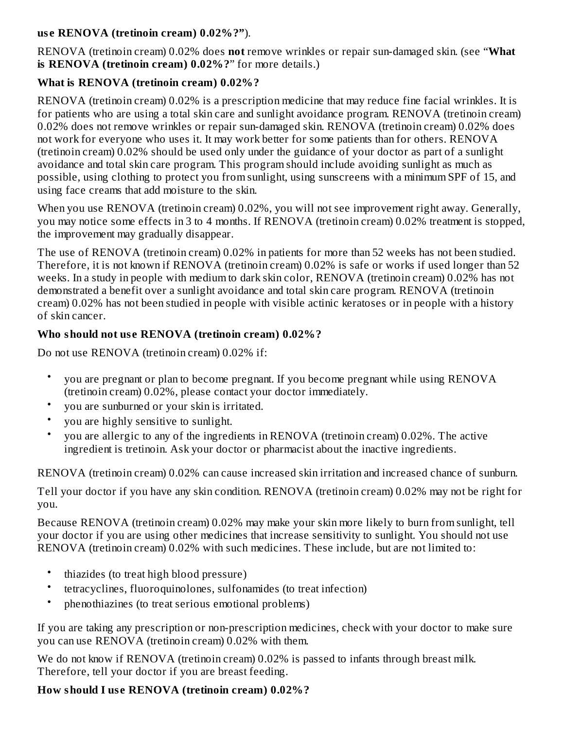### **us e RENOVA (tretinoin cream) 0.02%?"**).

RENOVA (tretinoin cream) 0.02% does **not** remove wrinkles or repair sun-damaged skin. (see "**What is RENOVA (tretinoin cream) 0.02%?**" for more details.)

# **What is RENOVA (tretinoin cream) 0.02%?**

RENOVA (tretinoin cream) 0.02% is a prescription medicine that may reduce fine facial wrinkles. It is for patients who are using a total skin care and sunlight avoidance program. RENOVA (tretinoin cream) 0.02% does not remove wrinkles or repair sun-damaged skin. RENOVA (tretinoin cream) 0.02% does not work for everyone who uses it. It may work better for some patients than for others. RENOVA (tretinoin cream) 0.02% should be used only under the guidance of your doctor as part of a sunlight avoidance and total skin care program. This program should include avoiding sunlight as much as possible, using clothing to protect you from sunlight, using sunscreens with a minimum SPF of 15, and using face creams that add moisture to the skin.

When you use RENOVA (tretinoin cream) 0.02%, you will not see improvement right away. Generally, you may notice some effects in 3 to 4 months. If RENOVA (tretinoin cream) 0.02% treatment is stopped, the improvement may gradually disappear.

The use of RENOVA (tretinoin cream) 0.02% in patients for more than 52 weeks has not been studied. Therefore, it is not known if RENOVA (tretinoin cream) 0.02% is safe or works if used longer than 52 weeks. In a study in people with medium to dark skin color, RENOVA (tretinoin cream) 0.02% has not demonstrated a benefit over a sunlight avoidance and total skin care program. RENOVA (tretinoin cream) 0.02% has not been studied in people with visible actinic keratoses or in people with a history of skin cancer.

# **Who should not us e RENOVA (tretinoin cream) 0.02%?**

Do not use RENOVA (tretinoin cream) 0.02% if:

- you are pregnant or plan to become pregnant. If you become pregnant while using RENOVA (tretinoin cream) 0.02%, please contact your doctor immediately.
- you are sunburned or your skin is irritated.
- you are highly sensitive to sunlight.
- you are allergic to any of the ingredients in RENOVA (tretinoin cream) 0.02%. The active ingredient is tretinoin. Ask your doctor or pharmacist about the inactive ingredients.

RENOVA (tretinoin cream) 0.02% can cause increased skin irritation and increased chance of sunburn.

Tell your doctor if you have any skin condition. RENOVA (tretinoin cream) 0.02% may not be right for you.

Because RENOVA (tretinoin cream) 0.02% may make your skin more likely to burn from sunlight, tell your doctor if you are using other medicines that increase sensitivity to sunlight. You should not use RENOVA (tretinoin cream) 0.02% with such medicines. These include, but are not limited to:

- thiazides (to treat high blood pressure)
- tetracyclines, fluoroquinolones, sulfonamides (to treat infection)
- phenothiazines (to treat serious emotional problems)

If you are taking any prescription or non-prescription medicines, check with your doctor to make sure you can use RENOVA (tretinoin cream) 0.02% with them.

We do not know if RENOVA (tretinoin cream) 0.02% is passed to infants through breast milk. Therefore, tell your doctor if you are breast feeding.

# **How should I us e RENOVA (tretinoin cream) 0.02%?**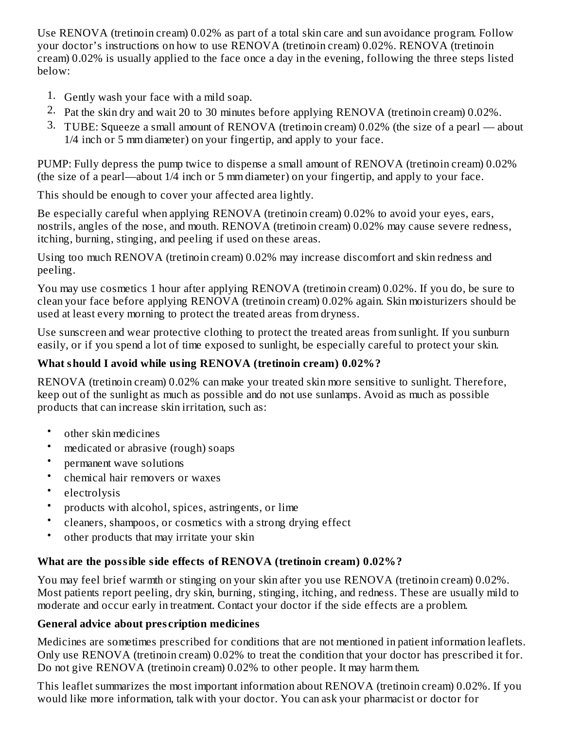Use RENOVA (tretinoin cream) 0.02% as part of a total skin care and sun avoidance program. Follow your doctor's instructions on how to use RENOVA (tretinoin cream) 0.02%. RENOVA (tretinoin cream) 0.02% is usually applied to the face once a day in the evening, following the three steps listed below:

- 1. Gently wash your face with a mild soap.
- 2. Pat the skin dry and wait 20 to 30 minutes before applying RENOVA (tretinoin cream) 0.02%.
- 3. TUBE: Squeeze a small amount of RENOVA (tretinoin cream) 0.02% (the size of a pearl about 1/4 inch or 5 mm diameter) on your fingertip, and apply to your face.

PUMP: Fully depress the pump twice to dispense a small amount of RENOVA (tretinoin cream) 0.02% (the size of a pearl—about 1/4 inch or 5 mm diameter) on your fingertip, and apply to your face.

This should be enough to cover your affected area lightly.

Be especially careful when applying RENOVA (tretinoin cream) 0.02% to avoid your eyes, ears, nostrils, angles of the nose, and mouth. RENOVA (tretinoin cream) 0.02% may cause severe redness, itching, burning, stinging, and peeling if used on these areas.

Using too much RENOVA (tretinoin cream) 0.02% may increase discomfort and skin redness and peeling.

You may use cosmetics 1 hour after applying RENOVA (tretinoin cream) 0.02%. If you do, be sure to clean your face before applying RENOVA (tretinoin cream) 0.02% again. Skin moisturizers should be used at least every morning to protect the treated areas from dryness.

Use sunscreen and wear protective clothing to protect the treated areas from sunlight. If you sunburn easily, or if you spend a lot of time exposed to sunlight, be especially careful to protect your skin.

# **What should I avoid while using RENOVA (tretinoin cream) 0.02%?**

RENOVA (tretinoin cream) 0.02% can make your treated skin more sensitive to sunlight. Therefore, keep out of the sunlight as much as possible and do not use sunlamps. Avoid as much as possible products that can increase skin irritation, such as:

- other skin medicines
- medicated or abrasive (rough) soaps
- permanent wave solutions
- chemical hair removers or waxes
- electrolysis
- products with alcohol, spices, astringents, or lime
- cleaners, shampoos, or cosmetics with a strong drying effect
- other products that may irritate your skin

# **What are the possible side effects of RENOVA (tretinoin cream) 0.02%?**

You may feel brief warmth or stinging on your skin after you use RENOVA (tretinoin cream) 0.02%. Most patients report peeling, dry skin, burning, stinging, itching, and redness. These are usually mild to moderate and occur early in treatment. Contact your doctor if the side effects are a problem.

# **General advice about pres cription medicines**

Medicines are sometimes prescribed for conditions that are not mentioned in patient information leaflets. Only use RENOVA (tretinoin cream) 0.02% to treat the condition that your doctor has prescribed it for. Do not give RENOVA (tretinoin cream) 0.02% to other people. It may harm them.

This leaflet summarizes the most important information about RENOVA (tretinoin cream) 0.02%. If you would like more information, talk with your doctor. You can ask your pharmacist or doctor for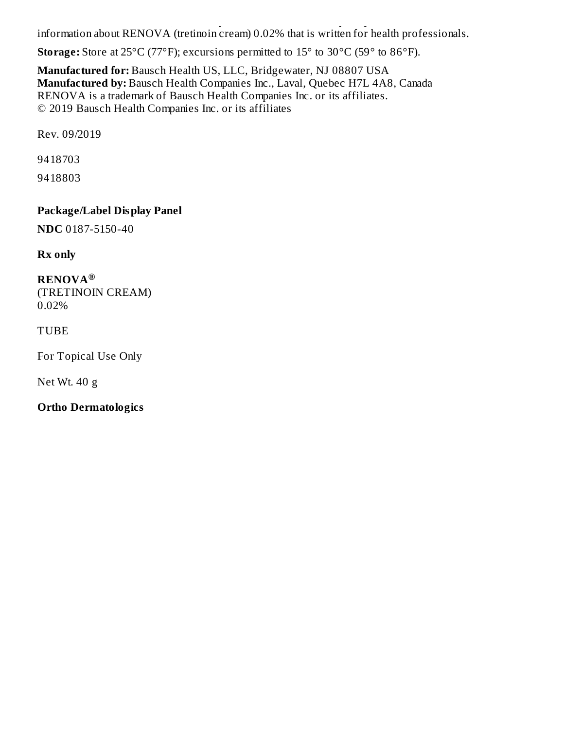would like more information, talk with your doctor. You can ask your pharmacist or doctor. You can ask your ph information about RENOVA (tretinoin cream) 0.02% that is written for health professionals.

**Storage:** Store at 25°C (77°F); excursions permitted to 15° to 30°C (59° to 86°F).

**Manufactured for:** Bausch Health US, LLC, Bridgewater, NJ 08807 USA **Manufactured by:** Bausch Health Companies Inc., Laval, Quebec H7L 4A8, Canada RENOVA is a trademark of Bausch Health Companies Inc. or its affiliates. © 2019 Bausch Health Companies Inc. or its affiliates

Rev. 09/2019

9418703

9418803

**Package/Label Display Panel**

**NDC** 0187-5150-40

**Rx only**

**RENOVA ®**(TRETINOIN CREAM) 0.02%

### TUBE

For Topical Use Only

Net Wt. 40 g

**Ortho Dermatologics**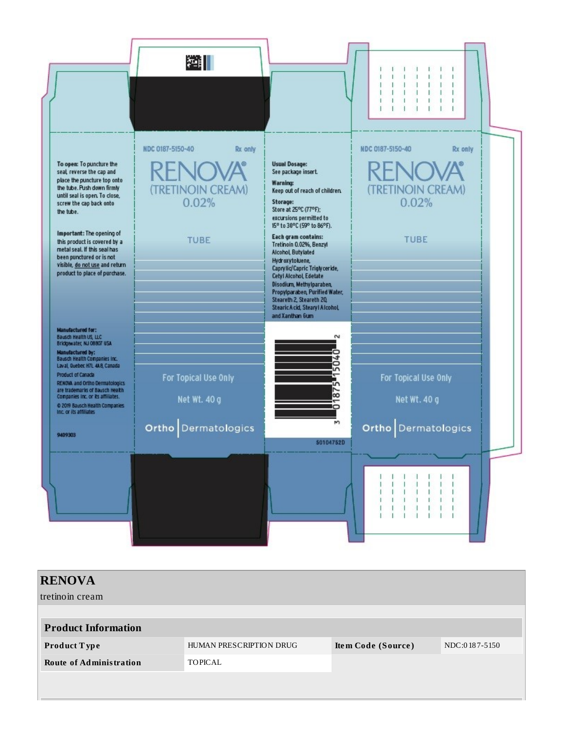

| <b>RENOVA</b>                  |                         |                    |               |
|--------------------------------|-------------------------|--------------------|---------------|
| tretinoin cream                |                         |                    |               |
|                                |                         |                    |               |
| <b>Product Information</b>     |                         |                    |               |
| Product Type                   | HUMAN PRESCRIPTION DRUG | Item Code (Source) | NDC:0187-5150 |
| <b>Route of Administration</b> | <b>TOPICAL</b>          |                    |               |
|                                |                         |                    |               |
|                                |                         |                    |               |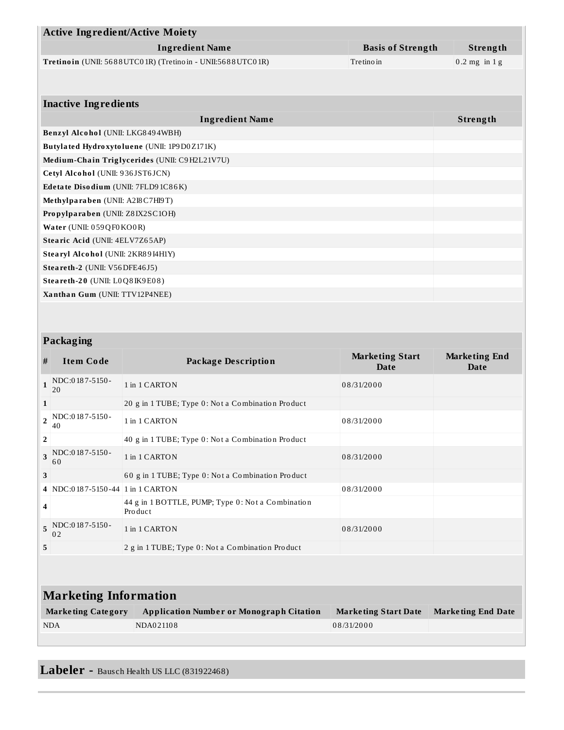|                                                                           | <b>Active Ingredient/Active Moiety</b> |                                                              |                          |                      |
|---------------------------------------------------------------------------|----------------------------------------|--------------------------------------------------------------|--------------------------|----------------------|
|                                                                           |                                        | <b>Ingredient Name</b>                                       | <b>Basis of Strength</b> | Strength             |
| Tretinoin (UNII: 5688UTC01R) (Tretinoin - UNII:5688UTC01R)<br>Tre tino in |                                        |                                                              |                          | $0.2$ mg in 1 g      |
|                                                                           |                                        |                                                              |                          |                      |
|                                                                           | <b>Inactive Ingredients</b>            |                                                              |                          |                      |
|                                                                           |                                        |                                                              |                          |                      |
|                                                                           |                                        | <b>Ingredient Name</b>                                       |                          | Strength             |
|                                                                           | Benzyl Alcohol (UNII: LKG8494WBH)      | Butylated Hydroxytoluene (UNII: 1P9D0Z171K)                  |                          |                      |
|                                                                           |                                        | Medium-Chain Triglycerides (UNII: C9H2L21V7U)                |                          |                      |
|                                                                           | Cetyl Alcohol (UNII: 936JST6JCN)       |                                                              |                          |                      |
|                                                                           | Edetate Disodium (UNII: 7FLD91C86K)    |                                                              |                          |                      |
|                                                                           | Methylparaben (UNII: A2I8C7HI9T)       |                                                              |                          |                      |
|                                                                           | Propylparaben (UNII: Z8IX2SC1OH)       |                                                              |                          |                      |
|                                                                           | Water (UNII: 059QF0KO0R)               |                                                              |                          |                      |
|                                                                           | Stearic Acid (UNII: 4ELV7Z65AP)        |                                                              |                          |                      |
|                                                                           | Stearyl Alcohol (UNII: 2KR89I4H1Y)     |                                                              |                          |                      |
|                                                                           | Steareth-2 (UNII: V56DFE46J5)          |                                                              |                          |                      |
|                                                                           | Steareth-20 (UNII: LOQ8IK9E08)         |                                                              |                          |                      |
|                                                                           | Xanthan Gum (UNII: TTV12P4NEE)         |                                                              |                          |                      |
|                                                                           |                                        |                                                              |                          |                      |
|                                                                           |                                        |                                                              |                          |                      |
| Packaging                                                                 |                                        |                                                              |                          |                      |
|                                                                           |                                        |                                                              | <b>Marketing Start</b>   | <b>Marketing End</b> |
| #                                                                         | <b>Item Code</b>                       | <b>Package Description</b>                                   | <b>Date</b>              | Date                 |
| $\mathbf{1}$                                                              | NDC:0187-5150-<br>20                   | 1 in 1 CARTON                                                | 08/31/2000               |                      |
| $\mathbf{1}$                                                              |                                        | 20 g in 1 TUBE; Type 0: Not a Combination Product            |                          |                      |
| $\overline{2}$                                                            | NDC:0187-5150-<br>40                   | 1 in 1 CARTON                                                | 08/31/2000               |                      |
| $\overline{\mathbf{2}}$                                                   |                                        | 40 g in 1 TUBE; Type 0: Not a Combination Product            |                          |                      |
| 3                                                                         | NDC:0187-5150-<br>60                   | 1 in 1 CARTON                                                | 08/31/2000               |                      |
| 3                                                                         |                                        | 60 g in 1 TUBE; Type 0: Not a Combination Product            |                          |                      |
|                                                                           | 4 NDC:0187-5150-44 1 in 1 CARTON       |                                                              | 08/31/2000               |                      |
| 4                                                                         |                                        | 44 g in 1 BOTTLE, PUMP; Type 0: Not a Combination<br>Product |                          |                      |
| 5                                                                         | NDC:0187-5150-<br>02                   | 1 in 1 CARTON                                                | 08/31/2000               |                      |

| <b>Marketing Information</b> |                                                 |                      |                           |
|------------------------------|-------------------------------------------------|----------------------|---------------------------|
| <b>Marketing Category</b>    | <b>Application Number or Monograph Citation</b> | Marketing Start Date | <b>Marketing End Date</b> |
| <b>NDA</b>                   | NDA021108                                       | 08/31/2000           |                           |

**5** 2 g in 1 TUBE; Type 0 : No t a Combinatio n Pro duct

**Labeler -** Baus ch Health US LLC (831922468)